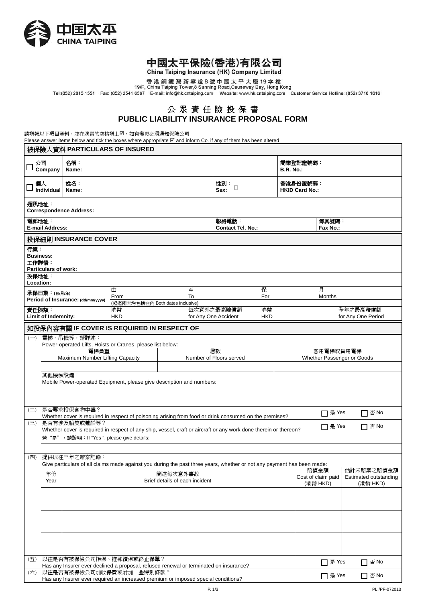

# 中國太平保險(香港)有限公司

China Taiping Insurance (HK) Company Limited

香港銅鑼灣新寧道8號中國太平大廈19字樓<br>19/F, China Taiping Tower,8 Sunning Road,Causeway Bay, Hong Kong<br>Tel:(852) 2815 1551 Fax: (852) 2541 6567 E-mail: info@hk.cntaiping.com Website: www.hk.cntaiping.com Customer Service Hotline: (852) 37

## 公 眾 責 任 險 投 保 書 **PUBLIC LIABILITY INSURANCE PROPOSAL FORM**

請填報以下項目資料,並在適當的空格填上2,如有變更必須通知保險公司

Please answer items below and tick the boxes where appropriate  $\boxtimes$  and inform Co. if any of them has been altered

| 被保險人資料 PARTICULARS OF INSURED                                                             |                                                                                                                        |                                                                                                                                  |         |                                    |                                                                                           |             |                                         |                                   |  |  |  |
|-------------------------------------------------------------------------------------------|------------------------------------------------------------------------------------------------------------------------|----------------------------------------------------------------------------------------------------------------------------------|---------|------------------------------------|-------------------------------------------------------------------------------------------|-------------|-----------------------------------------|-----------------------------------|--|--|--|
| 公司                                                                                        | Company                                                                                                                | 名稱:<br>Name:                                                                                                                     |         |                                    | 商業登記證號碼:<br><b>B.R. No.:</b>                                                              |             |                                         |                                   |  |  |  |
| 個人                                                                                        | Individual                                                                                                             | 姓名:<br>Name:                                                                                                                     |         | 性別:<br>Sex:                        |                                                                                           |             | 香港身份證號碼:<br><b>HKID Card No.:</b>       |                                   |  |  |  |
|                                                                                           | 通訊地址:<br><b>Correspondence Address:</b>                                                                                |                                                                                                                                  |         |                                    |                                                                                           |             |                                         |                                   |  |  |  |
| 電郵地址:<br>聯絡電話:<br>傳真號碼:<br><b>E-mail Address:</b><br>Fax No.:<br><b>Contact Tel. No.:</b> |                                                                                                                        |                                                                                                                                  |         |                                    |                                                                                           |             |                                         |                                   |  |  |  |
|                                                                                           | 投保細則 INSURANCE COVER                                                                                                   |                                                                                                                                  |         |                                    |                                                                                           |             |                                         |                                   |  |  |  |
| 行業:                                                                                       | <b>Business:</b>                                                                                                       |                                                                                                                                  |         |                                    |                                                                                           |             |                                         |                                   |  |  |  |
| 工作詳情:                                                                                     |                                                                                                                        |                                                                                                                                  |         |                                    |                                                                                           |             |                                         |                                   |  |  |  |
| <b>Particulars of work:</b><br>投保地址:<br>Location:                                         |                                                                                                                        |                                                                                                                                  |         |                                    |                                                                                           |             |                                         |                                   |  |  |  |
|                                                                                           | 承保日期:(日/月/年)                                                                                                           | 由<br>From                                                                                                                        | 至<br>To |                                    | 保<br>For                                                                                  | 月<br>Months |                                         |                                   |  |  |  |
|                                                                                           |                                                                                                                        | Period of Insurance: (dd/mm/yyyy)<br>(起迄兩天均包括在內 Both dates inclusive)                                                            |         |                                    |                                                                                           |             |                                         |                                   |  |  |  |
| 責任限額:                                                                                     | Limit of Indemnity:                                                                                                    | 港幣<br><b>HKD</b>                                                                                                                 |         | 每次意外之最高賠償額<br>for Any One Accident | 港幣<br><b>HKD</b>                                                                          |             |                                         | 全年之最高賠償額<br>for Any One Period    |  |  |  |
|                                                                                           |                                                                                                                        | 如投保內容有關 IF COVER IS REQUIRED IN RESPECT OF                                                                                       |         |                                    |                                                                                           |             |                                         |                                   |  |  |  |
| $(-)$                                                                                     |                                                                                                                        | 電梯、吊機等,請詳述:<br>Power-operated Lifts, Hoists or Cranes, please list below:                                                        |         |                                    |                                                                                           |             |                                         |                                   |  |  |  |
|                                                                                           |                                                                                                                        | 電梯負重<br>Maximum Number Lifting Capacity                                                                                          |         | 層數                                 |                                                                                           |             | 客用電梯或貨用電梯<br>Whether Passenger or Goods |                                   |  |  |  |
|                                                                                           | Number of Floors served                                                                                                |                                                                                                                                  |         |                                    |                                                                                           |             |                                         |                                   |  |  |  |
|                                                                                           | 其他機械設備:<br>Mobile Power-operated Equipment, please give description and numbers:                                       |                                                                                                                                  |         |                                    |                                                                                           |             |                                         |                                   |  |  |  |
|                                                                                           |                                                                                                                        |                                                                                                                                  |         |                                    |                                                                                           |             |                                         |                                   |  |  |  |
|                                                                                           |                                                                                                                        |                                                                                                                                  |         |                                    |                                                                                           |             |                                         |                                   |  |  |  |
| $\left(\square\right)$                                                                    |                                                                                                                        | 是否要求投保食物中毒?<br>Whether cover is required in respect of poisoning arising from food or drink consumed on the premises?            |         |                                    |                                                                                           |             | □ 是 Yes                                 | $\Box$ $\overline{\mathbb{F}}$ No |  |  |  |
| $\left(\equiv\right)$                                                                     |                                                                                                                        | 是否有涉及船隻或躉船等?<br>Whether cover is required in respect of any ship, vessel, craft or aircraft or any work done therein or thereon? |         |                                    |                                                                                           |             | □ 是 Yes                                 | $\Box$ $\overline{\mathbb{B}}$ No |  |  |  |
|                                                                                           |                                                                                                                        | 若"是", 請說明: If "Yes ", please give details:                                                                                       |         |                                    |                                                                                           |             |                                         |                                   |  |  |  |
|                                                                                           |                                                                                                                        | (四) 提供以往三年之賠案記錄:                                                                                                                 |         |                                    |                                                                                           |             |                                         |                                   |  |  |  |
|                                                                                           | Give particulars of all claims made against you during the past three years, whether or not any payment has been made: |                                                                                                                                  |         |                                    |                                                                                           |             |                                         |                                   |  |  |  |
|                                                                                           | 年份<br>Year                                                                                                             | 簡述每次意外事故<br>Brief details of each incident                                                                                       |         |                                    | 估計未賠案之賠償金額<br>賠償金額<br>Cost of claim paid<br>Estimated outstanding<br>(港幣 HKD)<br>(港幣 HKD) |             |                                         |                                   |  |  |  |
|                                                                                           |                                                                                                                        |                                                                                                                                  |         |                                    |                                                                                           |             |                                         |                                   |  |  |  |
|                                                                                           |                                                                                                                        |                                                                                                                                  |         |                                    |                                                                                           |             |                                         |                                   |  |  |  |
|                                                                                           |                                                                                                                        |                                                                                                                                  |         |                                    |                                                                                           |             |                                         |                                   |  |  |  |
|                                                                                           |                                                                                                                        |                                                                                                                                  |         |                                    |                                                                                           |             |                                         |                                   |  |  |  |
|                                                                                           |                                                                                                                        |                                                                                                                                  |         |                                    |                                                                                           |             |                                         |                                   |  |  |  |
| (五)                                                                                       |                                                                                                                        | 以往是否有被保險公司拒保、推卻續保或終止保單?<br>Has any Insurer ever declined a proposal, refused renewal or terminated on insurance?                 |         |                                    |                                                                                           |             | □ 是 Yes                                 | $\Box$ $\overline{\mathbb{B}}$ No |  |  |  |
| (六)                                                                                       |                                                                                                                        | 以往是否有被保險公司加收保費或附加一些特別條款?<br>Has any Insurer ever required an increased premium or imposed special conditions?                    |         |                                    |                                                                                           |             | $\Box$ 是 Yes                            | $\Box$ $\overline{\oplus}$ No     |  |  |  |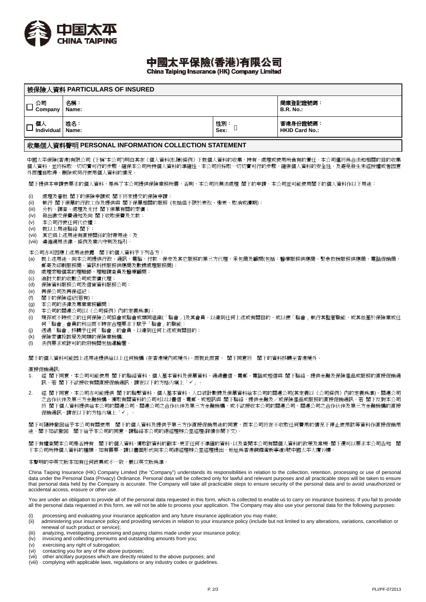

# 中國太平保險(香港)有限公司

China Taiping Insurance (HK) Company Limited

| 被保險人資料 PARTICULARS OF INSURED |              |                                   |  |  |  |  |
|-------------------------------|--------------|-----------------------------------|--|--|--|--|
| 公司<br>Company                 | 名稱:<br>Name: | 商業登記證號碼:<br><b>B.R. No.:</b>      |  |  |  |  |
| 個人<br>Individual   Name:      | 姓名:          | 香港身份證號碼:<br><b>HKID Card No.:</b> |  |  |  |  |
|                               |              |                                   |  |  |  |  |

### 收集個人資料聲明 **PERSONAL INFORMATION COLLECTION STATEMENT**

中國太平保險(香港)有限公司 (下稱"本公司")明白其在《個人資料(私隱)條例》下就個人資料的收集、持有、處理或使用所負有的責任。本公司僅將為合法和相關的目的收集 個人資料,並將採取一切切實可行的步驟,確保本公司所持個人資料的準確性。本公司將採取一切切實可行的步驟,確保個人資料的安全性,及避免發生未經授權或者因意 外而擅自取得、刪除或另行使用個人資料的情況。

閣下提供本申請表要求的個人資料,是為了本公司提供保險業務所需,否則,本公司將無法處理 閣下的申請。本公司並可能使用閣下的個人資料作以下用途:

- (i) 處理及審批 閣下的保險申請或 閣下將來提交的保險申請;
- (ii) 執行 閣下保單的行政工作及提供與 閣下保單相關的服務 (包括但不限於更改、變更、取消或續期);
- (iii) 分析、調查、處理及支付 閣下保單有關的索償;
- (iv) 發出繳交保費通知及向 閣下收取保費及欠款;
- (v) 本公司行使任何代位權;
- (vi) 就以上用途聯絡 閣下;
- (vii) 其它與上述用途有直接關係的附帶用途;及
- (viii) 遵循適用法律,條例及業内守則及指引。

本公司亦可因應上述用途披露 閣下的個人資料予下列各方:

- (a) 就上述用途,向本公司提供行政、通訊、電腦、付款、保安及其它服務的第三方代理、承包商及顧問(包括:醫療服務供應商、緊急救援服務供應商、電話促銷商、 郵寄及印刷服務商、資訊科技服務供應商及數據處理服務商);
- (b) 處理索賠個案的理賠師、理賠調查員及醫療顧問;
- (c) 追討欠款的收數公司或索償代理;
- (d) 保險資料服務公司及信貸資料服務公司;
- (e) 再保公司及再保經紀;
- (f) 閣下的保險經紀(若有);
- (g) 本公司的法律及專業業務顧問;
- (h) 本公司的關連公司(以《公司條例》內的定義為準);
- (i) 現存或不時成立的任何保險公司協會或聯會或類同組織(「聯會」)及其會員,以達到任何上述或有關目的,或以便「聯會」執行其監管職能,或其他基於保險業或任 何「聯會」會員的利益而不時在合理要求下賦予「聯會」的職能;
- (j) 透過「聯會」移轉予任何「聯會」的會員,以達到任何上述或有關目的;
- (k) 保險索償投訴局及同類的保險業機構;
- (I) 法例要求或許可的政府機關包括運輸署

閣下的個人資料可能因上述用途提供給以上任何機構 (在香港境內或境外),而就此而言, 閣下同意將 閣下的資料移轉至香港境外。

#### 直接促銷通訊:

- 1. 經 閣下同意,本公司可能使用 閣下的聯絡資料、個人基本資料及保單資料,通過書信、電郵、電話或短信與 閣下聯絡,提供金融及保險產品或服務的直接促銷通 訊。若 閣下不欲接收有關直接促銷通訊,請在以下的方格内填上「✔」。
- 2. 經 閣下同意,本公司亦可能提供 閣下的聯繫資料、個人基本資料、人口統計數據及保單資料給本公司的關連公司(其定義以《公司條例》內的定義為準)、關連公司 之合作伙伴及第三方金融機構,獲取有關資料的公司可以以書信、電郵、或短訊與 閣下聯絡,提供金融及/或保險產品或服務的直接促銷通訊。若 閣下反對本公司 將 閣下個人資料提供給本公司的關連公司、關連公司之合作伙伴及第三方金融機構,或不欲接收本公司的關連公司、關連公司之合作伙伴及第三方金融機構的直接 促銷通訊,請在以下的方格内填上「」。

閣下可隨時撤回給予本公司有關使用 閣下的個人資料及提供予第三方作直接促銷用途的同意,而本公司將在不收取任何費用的情況下停止使用該等資料作直接促銷用 途。閣下如欲撤回 閣下給予本公司的同意,請聯絡本公司的總經理辦公室經理(詳情參閱下文)。

閣下有權查閱本公司是否持有 閣下的個人資料,獲取該資料的副本,更正任何不準確的資料,以及查閱本公司有關個人資料的政策及常規。閣下還可以要求本公司告知 閣 下本公司所持個人資料的種類。如有需要,請以書面形式向本公司總經理辦公室經理提出,地址爲香港銅鑼灣新寧道8號中國太平大廈19樓。

#### 本聲明的中英文版本如有任何歧異或不一致,概以英文版為準。

China Taiping Insurance (HK) Company Limited (the "Company") understands its responsibilities in relation to the collection, retention, processing or use of personal data under the Personal Data (Privacy) Ordinance. Personal data will be collected only for lawful and relevant purposes and all practicable steps will be taken to ensure that personal data held by the Company is accurate. The Company will take all practicable steps to ensure security of the personal data and to avoid unauthorized or accidental access, erasure or other use.

You are under an obligation to provide all of the personal data requested in this form, which is collected to enable us to carry on insurance business. If you fail to provide all the personal data requested in this form, we will not be able to process your application. The Company may also use your personal data for the following purposes:

- (i) processing and evaluating your insurance application and any future insurance application you may make;<br>(ii) administering your insurance policy and providing services in relation to your insurance policy (include but
- administering your insurance policy and providing services in relation to your insurance policy (include but not limited to any alterations, variations, cancellation or renewal of such product or service);
- (iii) analyzing, investigating, processing and paying claims made under your insurance policy;
- (iv) invoicing and collecting premiums and outstanding amounts from you;
- (v) exercising any right of subrogation;<br>(vi) contacting you for any of the above
- contacting you for any of the above purposes;
- (vii) other ancillary purposes which are directly related to the above purposes; and
- (viii) complying with applicable laws, regulations or any industry codes or guidelines.